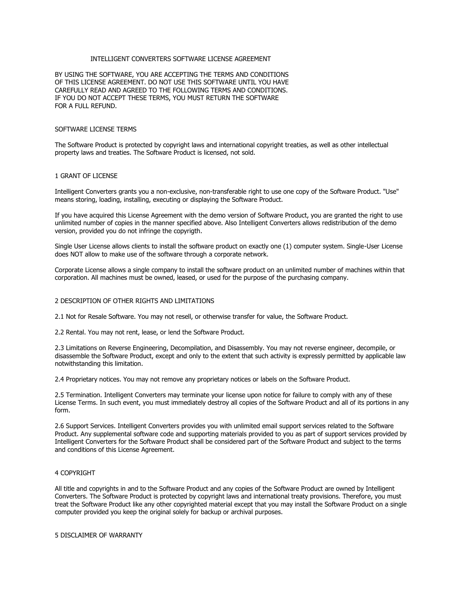## INTELLIGENT CONVERTERS SOFTWARE LICENSE AGREEMENT

BY USING THE SOFTWARE, YOU ARE ACCEPTING THE TERMS AND CONDITIONS OF THIS LICENSE AGREEMENT. DO NOT USE THIS SOFTWARE UNTIL YOU HAVE CAREFULLY READ AND AGREED TO THE FOLLOWING TERMS AND CONDITIONS. IF YOU DO NOT ACCEPT THESE TERMS, YOU MUST RETURN THE SOFTWARE FOR A FULL REFUND.

#### SOFTWARE LICENSE TERMS

The Software Product is protected by copyright laws and international copyright treaties, as well as other intellectual property laws and treaties. The Software Product is licensed, not sold.

### 1 GRANT OF LICENSE

Intelligent Converters grants you a non-exclusive, non-transferable right to use one copy of the Software Product. "Use" means storing, loading, installing, executing or displaying the Software Product.

If you have acquired this License Agreement with the demo version of Software Product, you are granted the right to use unlimited number of copies in the manner specified above. Also Intelligent Converters allows redistribution of the demo version, provided you do not infringe the copyrigth.

Single User License allows clients to install the software product on exactly one (1) computer system. Single-User License does NOT allow to make use of the software through a corporate network.

Corporate License allows a single company to install the software product on an unlimited number of machines within that corporation. All machines must be owned, leased, or used for the purpose of the purchasing company.

### 2 DESCRIPTION OF OTHER RIGHTS AND LIMITATIONS

2.1 Not for Resale Software. You may not resell, or otherwise transfer for value, the Software Product.

2.2 Rental. You may not rent, lease, or lend the Software Product.

2.3 Limitations on Reverse Engineering, Decompilation, and Disassembly. You may not reverse engineer, decompile, or disassemble the Software Product, except and only to the extent that such activity is expressly permitted by applicable law notwithstanding this limitation.

2.4 Proprietary notices. You may not remove any proprietary notices or labels on the Software Product.

2.5 Termination. Intelligent Converters may terminate your license upon notice for failure to comply with any of these License Terms. In such event, you must immediately destroy all copies of the Software Product and all of its portions in any form.

2.6 Support Services. Intelligent Converters provides you with unlimited email support services related to the Software Product. Any supplemental software code and supporting materials provided to you as part of support services provided by Intelligent Converters for the Software Product shall be considered part of the Software Product and subject to the terms and conditions of this License Agreement.

# 4 COPYRIGHT

All title and copyrights in and to the Software Product and any copies of the Software Product are owned by Intelligent Converters. The Software Product is protected by copyright laws and international treaty provisions. Therefore, you must treat the Software Product like any other copyrighted material except that you may install the Software Product on a single computer provided you keep the original solely for backup or archival purposes.

5 DISCLAIMER OF WARRANTY